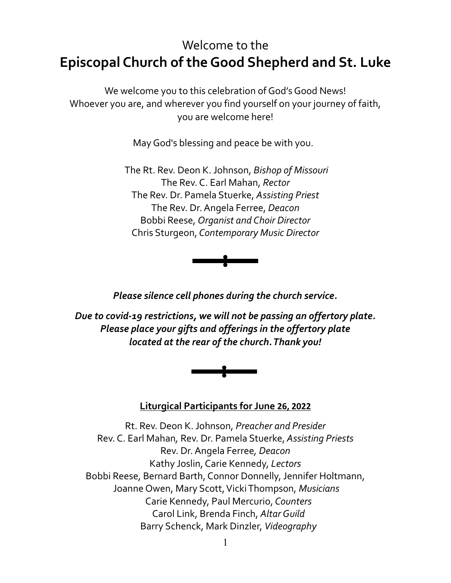# Welcome to the **Episcopal Church of the Good Shepherd and St. Luke**

We welcome you to this celebration of God's Good News! Whoever you are, and wherever you find yourself on your journey of faith, you are welcome here!

May God's blessing and peace be with you.

The Rt. Rev. Deon K. Johnson, *Bishop of Missouri* The Rev. C. Earl Mahan, *Rector* The Rev. Dr. Pamela Stuerke, *Assisting Priest* The Rev. Dr. Angela Ferree, *Deacon* Bobbi Reese, *Organist and Choir Director* Chris Sturgeon, *Contemporary Music Director*



*Please silence cell phones during the church service.*

*Due to covid-19 restrictions, we will not be passing an offertory plate. Please place your gifts and offerings in the offertory plate located at the rear of the church. Thank you!*



#### **Liturgical Participants for June 26, 2022**

Rt. Rev. Deon K. Johnson, *Preacher and Presider* Rev. C. Earl Mahan*,* Rev. Dr. Pamela Stuerke, *Assisting Priests* Rev. Dr. Angela Ferree*, Deacon* Kathy Joslin, Carie Kennedy, *Lectors* Bobbi Reese, Bernard Barth, Connor Donnelly, Jennifer Holtmann, Joanne Owen, Mary Scott, Vicki Thompson, *Musicians* Carie Kennedy, Paul Mercurio, *Counters* Carol Link, Brenda Finch, *Altar Guild* Barry Schenck, Mark Dinzler, *Videography*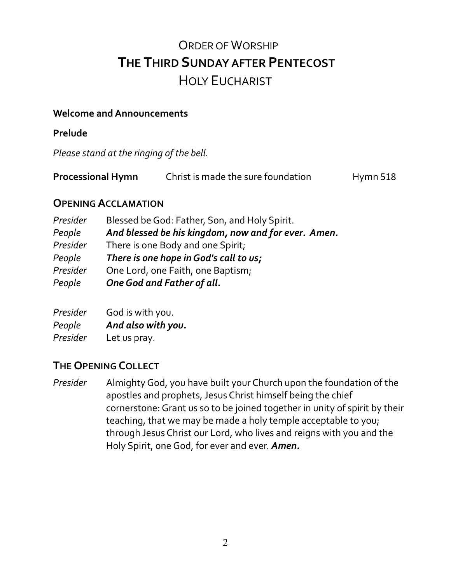# ORDER OF WORSHIP **THE THIRD SUNDAY AFTER PENTECOST** HOLY EUCHARIST

#### **Welcome and Announcements**

**Prelude** 

*Please stand at the ringing of the bell.*

| <b>Processional Hymn</b> | Christ is made the sure foundation | Hymn 518 |
|--------------------------|------------------------------------|----------|
|--------------------------|------------------------------------|----------|

#### **OPENING ACCLAMATION**

| Presider | Blessed be God: Father, Son, and Holy Spirit.       |
|----------|-----------------------------------------------------|
| People   | And blessed be his kingdom, now and for ever. Amen. |
| Presider | There is one Body and one Spirit;                   |
| People   | There is one hope in God's call to us;              |
| Presider | One Lord, one Faith, one Baptism;                   |
| People   | One God and Father of all.                          |

*Presider* God is with you. *People And also with you. Presider* Let us pray.

### **THE OPENING COLLECT**

*Presider* Almighty God, you have built your Church upon the foundation of the apostles and prophets, Jesus Christ himself being the chief cornerstone: Grant us so to be joined together in unity of spirit by their teaching, that we may be made a holy temple acceptable to you; through Jesus Christ our Lord, who lives and reigns with you and the Holy Spirit, one God, for ever and ever. *Amen.*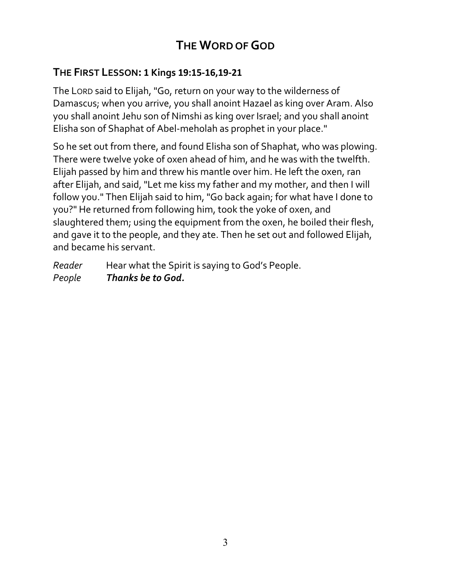# **THE WORD OF GOD**

## **THE FIRST LESSON: 1 Kings 19:15-16,19-21**

The LORD said to Elijah, "Go, return on your way to the wilderness of Damascus; when you arrive, you shall anoint Hazael as king over Aram. Also you shall anoint Jehu son of Nimshi as king over Israel; and you shall anoint Elisha son of Shaphat of Abel-meholah as prophet in your place."

So he set out from there, and found Elisha son of Shaphat, who was plowing. There were twelve yoke of oxen ahead of him, and he was with the twelfth. Elijah passed by him and threw his mantle over him. He left the oxen, ran after Elijah, and said, "Let me kiss my father and my mother, and then I will follow you." Then Elijah said to him, "Go back again; for what have I done to you?" He returned from following him, took the yoke of oxen, and slaughtered them; using the equipment from the oxen, he boiled their flesh, and gave it to the people, and they ate. Then he set out and followed Elijah, and became his servant.

*Reader* Hear what the Spirit is saying to God's People. *People Thanks be to God.*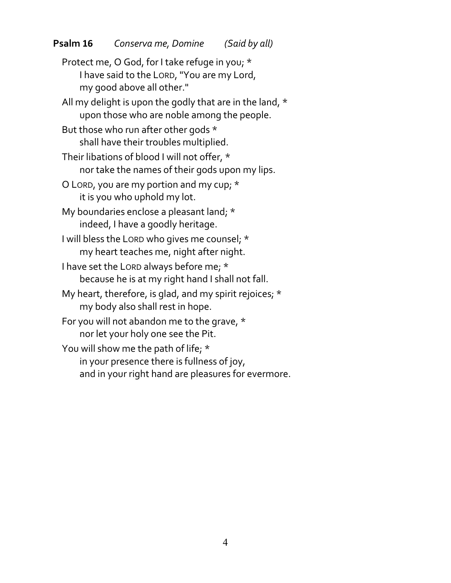Protect me, O God, for I take refuge in you; \* I have said to the LORD, "You are my Lord, my good above all other." All my delight is upon the godly that are in the land, \* upon those who are noble among the people. But those who run after other gods \* shall have their troubles multiplied. Their libations of blood I will not offer, \* nor take the names of their gods upon my lips. O LORD, you are my portion and my cup; \* it is you who uphold my lot. My boundaries enclose a pleasant land; \* indeed, I have a goodly heritage. I will bless the LORD who gives me counsel; \* my heart teaches me, night after night. I have set the LORD always before me; \* because he is at my right hand I shall not fall. My heart, therefore, is glad, and my spirit rejoices; \* my body also shall rest in hope. For you will not abandon me to the grave, \* nor let your holy one see the Pit. You will show me the path of life; \* in your presence there is fullness of joy, and in your right hand are pleasures for evermore.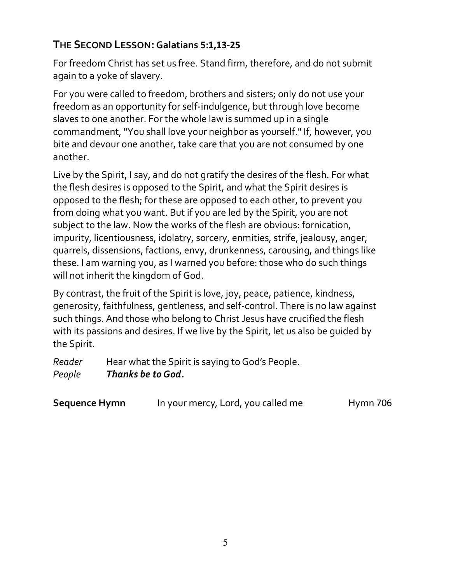# **THE SECOND LESSON:Galatians 5:1,13-25**

For freedom Christ has set us free. Stand firm, therefore, and do not submit again to a yoke of slavery.

For you were called to freedom, brothers and sisters; only do not use your freedom as an opportunity for self-indulgence, but through love become slaves to one another. For the whole law is summed up in a single commandment, "You shall love your neighbor as yourself." If, however, you bite and devour one another, take care that you are not consumed by one another.

Live by the Spirit, I say, and do not gratify the desires of the flesh. For what the flesh desires is opposed to the Spirit, and what the Spirit desires is opposed to the flesh; for these are opposed to each other, to prevent you from doing what you want. But if you are led by the Spirit, you are not subject to the law. Now the works of the flesh are obvious: fornication, impurity, licentiousness, idolatry, sorcery, enmities, strife, jealousy, anger, quarrels, dissensions, factions, envy, drunkenness, carousing, and things like these. I am warning you, as I warned you before: those who do such things will not inherit the kingdom of God.

By contrast, the fruit of the Spirit is love, joy, peace, patience, kindness, generosity, faithfulness, gentleness, and self-control. There is no law against such things. And those who belong to Christ Jesus have crucified the flesh with its passions and desires. If we live by the Spirit, let us also be guided by the Spirit.

*Reader* Hear what the Spirit is saying to God's People. *People Thanks be to God.*

| <b>Sequence Hymn</b> | In your mercy, Lord, you called me | <b>Hymn 706</b> |
|----------------------|------------------------------------|-----------------|
|----------------------|------------------------------------|-----------------|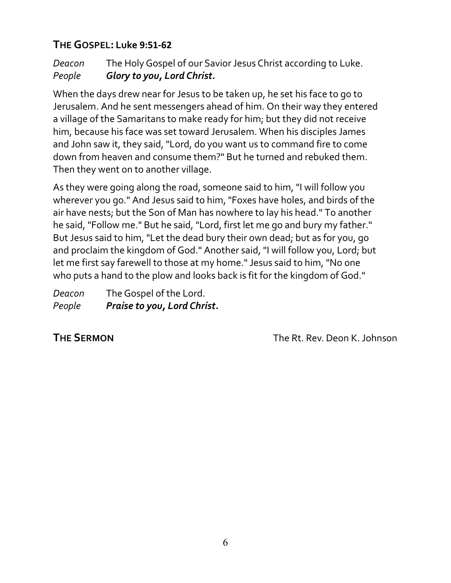# **THE GOSPEL: Luke 9:51-62**

*Deacon* The Holy Gospel of our Savior Jesus Christ according to Luke. *People Glory to you, Lord Christ.*

When the days drew near for Jesus to be taken up, he set his face to go to Jerusalem. And he sent messengers ahead of him. On their way they entered a village of the Samaritans to make ready for him; but they did not receive him, because his face was set toward Jerusalem. When his disciples James and John saw it, they said, "Lord, do you want us to command fire to come down from heaven and consume them?" But he turned and rebuked them. Then they went on to another village.

As they were going along the road, someone said to him, "I will follow you wherever you go." And Jesus said to him, "Foxes have holes, and birds of the air have nests; but the Son of Man has nowhere to lay his head." To another he said, "Follow me." But he said, "Lord, first let me go and bury my father." But Jesus said to him, "Let the dead bury their own dead; but as for you, go and proclaim the kingdom of God." Another said, "I will follow you, Lord; but let me first say farewell to those at my home." Jesus said to him, "No one who puts a hand to the plow and looks back is fit for the kingdom of God."

| Deacon | The Gospel of the Lord.     |
|--------|-----------------------------|
| People | Praise to you, Lord Christ. |

**THE SERMON** The Rt. Rev. Deon K. Johnson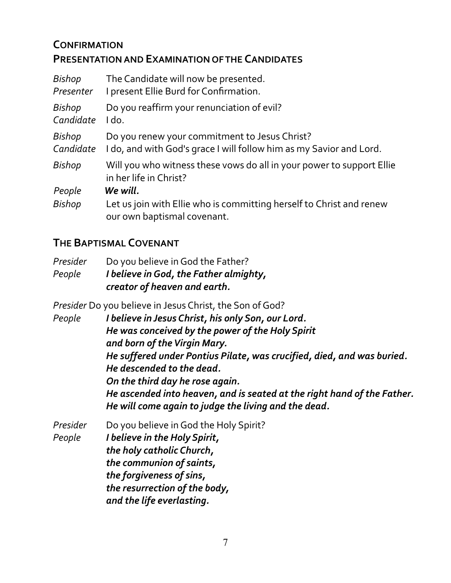# **CONFIRMATION PRESENTATION AND EXAMINATION OF THE CANDIDATES**

| Bishop        | The Candidate will now be presented.                                                                |
|---------------|-----------------------------------------------------------------------------------------------------|
| Presenter     | I present Ellie Burd for Confirmation.                                                              |
| Bishop        | Do you reaffirm your renunciation of evil?                                                          |
| Candidate     | I do.                                                                                               |
| <b>Bishop</b> | Do you renew your commitment to Jesus Christ?                                                       |
| Candidate     | I do, and with God's grace I will follow him as my Savior and Lord.                                 |
| <b>Bishop</b> | Will you who witness these vows do all in your power to support Ellie<br>in her life in Christ?     |
| People        | We will.                                                                                            |
| <b>Bishop</b> | Let us join with Ellie who is committing herself to Christ and renew<br>our own baptismal covenant. |

# **THE BAPTISMAL COVENANT**

*Presider* Do you believe in God the Father? *People I believe in God, the Father almighty, creator of heaven and earth.*

> *the communion of saints, the forgiveness of sins,*

 *and the life everlasting.*

 *the resurrection of the body,*

*Presider* Do you believe in Jesus Christ, the Son of God?

*People I believe in Jesus Christ, his only Son, our Lord. He was conceived by the power of the Holy Spirit and born of the Virgin Mary. He suffered under Pontius Pilate, was crucified, died, and was buried. He descended to the dead. On the third day he rose again. He ascended into heaven, and is seated at the right hand of the Father. He will come again to judge the living and the dead. Presider* Do you believe in God the Holy Spirit? *People I believe in the Holy Spirit, the holy catholic Church,*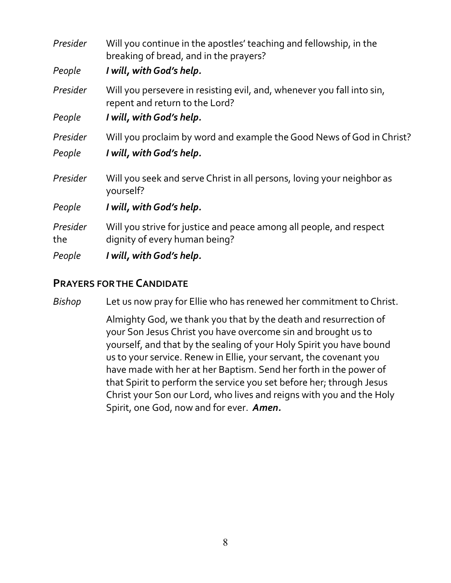| Presider        | Will you continue in the apostles' teaching and fellowship, in the<br>breaking of bread, and in the prayers? |
|-----------------|--------------------------------------------------------------------------------------------------------------|
| People          | I will, with God's help.                                                                                     |
| Presider        | Will you persevere in resisting evil, and, whenever you fall into sin,<br>repent and return to the Lord?     |
| People          | I will, with God's help.                                                                                     |
| Presider        | Will you proclaim by word and example the Good News of God in Christ?                                        |
| People          | I will, with God's help.                                                                                     |
| Presider        | Will you seek and serve Christ in all persons, loving your neighbor as<br>yourself?                          |
| People          | I will, with God's help.                                                                                     |
| Presider<br>the | Will you strive for justice and peace among all people, and respect<br>dignity of every human being?         |
| People          | I will, with God's help.                                                                                     |

#### **PRAYERS FOR THE CANDIDATE**

*Bishop* Let us now pray for Ellie who has renewed her commitment to Christ.

Almighty God, we thank you that by the death and resurrection of your Son Jesus Christ you have overcome sin and brought us to yourself, and that by the sealing of your Holy Spirit you have bound us to your service. Renew in Ellie, your servant, the covenant you have made with her at her Baptism. Send her forth in the power of that Spirit to perform the service you set before her; through Jesus Christ your Son our Lord, who lives and reigns with you and the Holy Spirit, one God, now and for ever. *Amen.*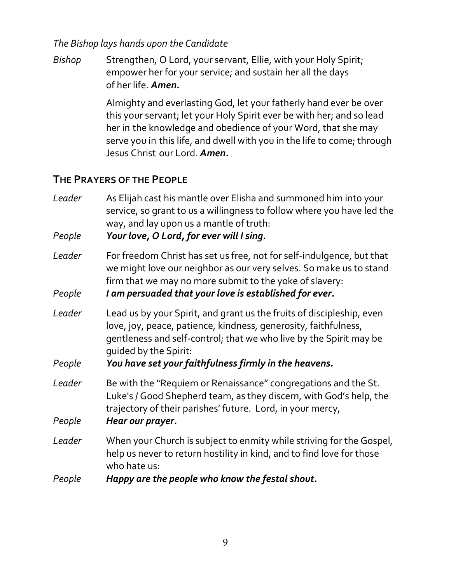#### *The Bishop lays hands upon the Candidate*

*Bishop* Strengthen, O Lord, your servant, Ellie, with your Holy Spirit; empower her for your service; and sustain her all the days of her life. *Amen.*

> Almighty and everlasting God, let your fatherly hand ever be over this your servant; let your Holy Spirit ever be with her; and so lead her in the knowledge and obedience of your Word, that she may serve you in this life, and dwell with you in the life to come; through Jesus Christ our Lord. *Amen.*

### **THE PRAYERS OF THE PEOPLE**

| Leader<br>People | As Elijah cast his mantle over Elisha and summoned him into your<br>service, so grant to us a willingness to follow where you have led the<br>way, and lay upon us a mantle of truth:<br>Your love, O Lord, for ever will I sing.                                                                |
|------------------|--------------------------------------------------------------------------------------------------------------------------------------------------------------------------------------------------------------------------------------------------------------------------------------------------|
| Leader<br>People | For freedom Christ has set us free, not for self-indulgence, but that<br>we might love our neighbor as our very selves. So make us to stand<br>firm that we may no more submit to the yoke of slavery:<br>I am persuaded that your love is established for ever.                                 |
| Leader<br>People | Lead us by your Spirit, and grant us the fruits of discipleship, even<br>love, joy, peace, patience, kindness, generosity, faithfulness,<br>gentleness and self-control; that we who live by the Spirit may be<br>quided by the Spirit:<br>You have set your faithfulness firmly in the heavens. |
| Leader<br>People | Be with the "Requiem or Renaissance" congregations and the St.<br>Luke's / Good Shepherd team, as they discern, with God's help, the<br>trajectory of their parishes' future. Lord, in your mercy,<br>Hear our prayer.                                                                           |
| Leader<br>People | When your Church is subject to enmity while striving for the Gospel,<br>help us never to return hostility in kind, and to find love for those<br>who hate us:<br>Happy are the people who know the festal shout.                                                                                 |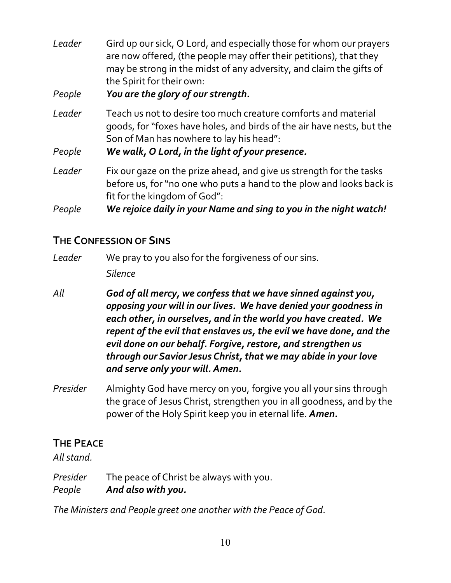*Leader* Gird up our sick, O Lord, and especially those for whom our prayers are now offered, (the people may offer their petitions), that they may be strong in the midst of any adversity, and claim the gifts of the Spirit for their own:

*People You are the glory of our strength.*

*Leader* Teach us not to desire too much creature comforts and material goods, for "foxes have holes, and birds of the air have nests, but the Son of Man has nowhere to lay his head":

*People We walk, O Lord, in the light of your presence.*

*Leader* Fix our gaze on the prize ahead, and give us strength for the tasks before us, for "no one who puts a hand to the plow and looks back is fit for the kingdom of God":

*People We rejoice daily in your Name and sing to you in the night watch!*

# **THE CONFESSION OF SINS**

*Leader* We pray to you also for the forgiveness of our sins. *Silence* 

*All God of all mercy, we confess that we have sinned against you, opposing your will in our lives. We have denied your goodness in each other, in ourselves, and in the world you have created. We repent of the evil that enslaves us, the evil we have done, and the evil done on our behalf. Forgive, restore, and strengthen us through our Savior Jesus Christ, that we may abide in your love and serve only your will. Amen.*

*Presider* Almighty God have mercy on you, forgive you all your sins through the grace of Jesus Christ, strengthen you in all goodness, and by the power of the Holy Spirit keep you in eternal life. *Amen.*

# **THE PEACE**

*All stand.* 

*Presider* The peace of Christ be always with you. *People And also with you.*

*The Ministers and People greet one another with the Peace of God.*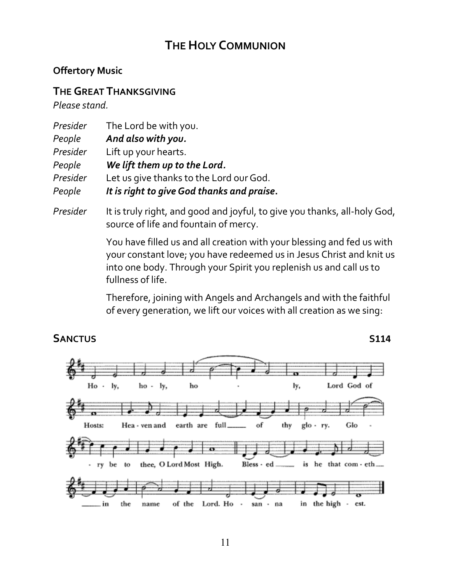# **THE HOLY COMMUNION**

#### **Offertory Music**

#### **THE GREAT THANKSGIVING**

*Please stand.*

| Presider | The Lord be with you.                      |
|----------|--------------------------------------------|
| People   | And also with you.                         |
| Presider | Lift up your hearts.                       |
| People   | We lift them up to the Lord.               |
| Presider | Let us give thanks to the Lord our God.    |
| People   | It is right to give God thanks and praise. |

*Presider* It is truly right, and good and joyful, to give you thanks, all-holy God, source of life and fountain of mercy.

> You have filled us and all creation with your blessing and fed us with your constant love; you have redeemed us in Jesus Christ and knit us into one body. Through your Spirit you replenish us and call us to fullness of life.

Therefore, joining with Angels and Archangels and with the faithful of every generation, we lift our voices with all creation as we sing:

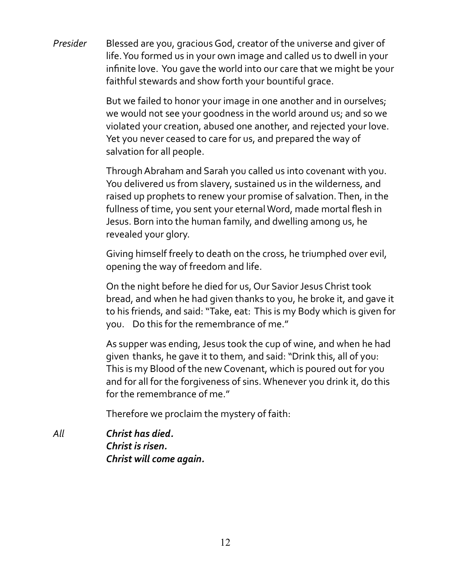*Presider* Blessed are you, gracious God, creator of the universe and giver of life. You formed us in your own image and called us to dwell in your infinite love. You gave the world into our care that we might be your faithful stewards and show forth your bountiful grace.

> But we failed to honor your image in one another and in ourselves; we would not see your goodness in the world around us; and so we violated your creation, abused one another, and rejected your love. Yet you never ceased to care for us, and prepared the way of salvation for all people.

> Through Abraham and Sarah you called us into covenant with you. You delivered us from slavery, sustained us in the wilderness, and raised up prophets to renew your promise of salvation. Then, in the fullness of time, you sent your eternal Word, made mortal flesh in Jesus. Born into the human family, and dwelling among us, he revealed your glory.

> Giving himself freely to death on the cross, he triumphed over evil, opening the way of freedom and life.

On the night before he died for us, Our Savior Jesus Christ took bread, and when he had given thanks to you, he broke it, and gave it to his friends, and said: "Take, eat: This is my Body which is given for you. Do this for the remembrance of me."

As supper was ending, Jesus took the cup of wine, and when he had given thanks, he gave it to them, and said: "Drink this, all of you: This is my Blood of the new Covenant, which is poured out for you and for all for the forgiveness of sins. Whenever you drink it, do this for the remembrance of me."

Therefore we proclaim the mystery of faith:

*All Christ has died. Christ is risen. Christ will come again.*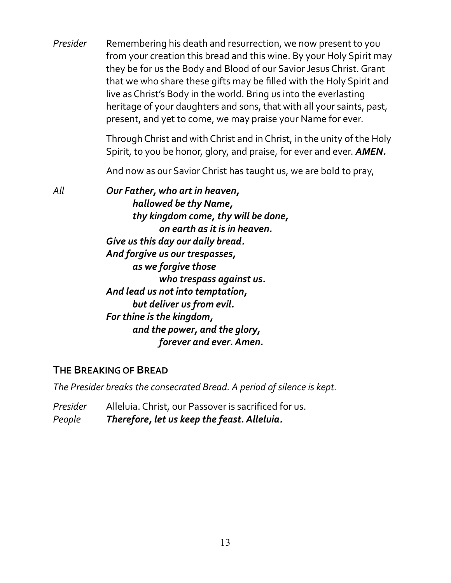| Presider | Remembering his death and resurrection, we now present to you<br>from your creation this bread and this wine. By your Holy Spirit may<br>they be for us the Body and Blood of our Savior Jesus Christ. Grant<br>that we who share these gifts may be filled with the Holy Spirit and<br>live as Christ's Body in the world. Bring us into the everlasting<br>heritage of your daughters and sons, that with all your saints, past,<br>present, and yet to come, we may praise your Name for ever. |
|----------|---------------------------------------------------------------------------------------------------------------------------------------------------------------------------------------------------------------------------------------------------------------------------------------------------------------------------------------------------------------------------------------------------------------------------------------------------------------------------------------------------|
|          | Through Christ and with Christ and in Christ, in the unity of the Holy<br>Spirit, to you be honor, glory, and praise, for ever and ever. <b>AMEN</b> .                                                                                                                                                                                                                                                                                                                                            |
|          | And now as our Savior Christ has taught us, we are bold to pray,                                                                                                                                                                                                                                                                                                                                                                                                                                  |
| All      | Our Father, who art in heaven,<br>hallowed be thy Name,<br>thy kingdom come, thy will be done,<br>on earth as it is in heaven.<br>Give us this day our daily bread.<br>And forgive us our trespasses,<br>as we forgive those<br>who trespass against us.<br>And lead us not into temptation,<br>but deliver us from evil.<br>For thine is the kingdom,<br>and the power, and the glory,<br>forever and ever. Amen.                                                                                |

#### **THE BREAKING OF BREAD**

*The Presider breaks the consecrated Bread. A period of silence is kept.*

*Presider* Alleluia. Christ, our Passover is sacrificed for us. *People Therefore, let us keep the feast. Alleluia.*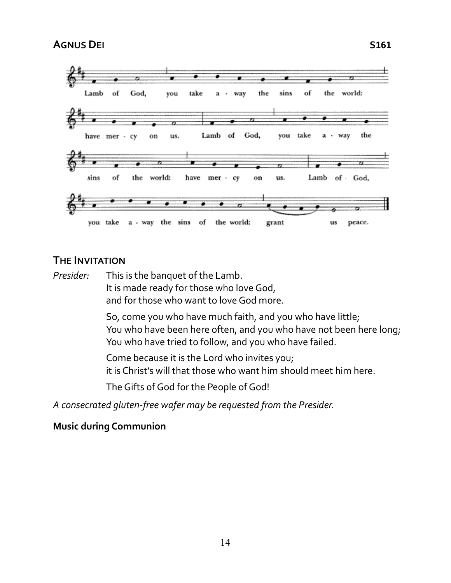

#### **THE INVITATION**

*Presider:* This is the banquet of the Lamb. It is made ready for those who love God, and for those who want to love God more.

> So, come you who have much faith, and you who have little; You who have been here often, and you who have not been here long; You who have tried to follow, and you who have failed.

Come because it is the Lord who invites you; it is Christ's will that those who want him should meet him here.

The Gifts of God for the People of God!

*A consecrated gluten-free wafer may be requested from the Presider.*

#### **Music during Communion**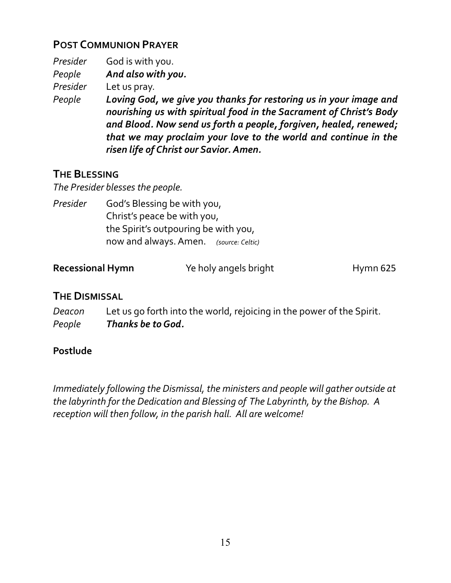# **POST COMMUNION PRAYER**

| Presider | God is with you.                                                                                                                                                                                                                                                                                                           |
|----------|----------------------------------------------------------------------------------------------------------------------------------------------------------------------------------------------------------------------------------------------------------------------------------------------------------------------------|
| People   | And also with you.                                                                                                                                                                                                                                                                                                         |
| Presider | Let us pray.                                                                                                                                                                                                                                                                                                               |
| People   | Loving God, we give you thanks for restoring us in your image and<br>nourishing us with spiritual food in the Sacrament of Christ's Body<br>and Blood. Now send us forth a people, forgiven, healed, renewed;<br>that we may proclaim your love to the world and continue in the<br>risen life of Christ our Savior. Amen. |

### **THE BLESSING**

*The Presider blesses the people.*

Presider God's Blessing be with you, Christ's peace be with you, the Spirit's outpouring be with you, now and always. Amen. *(source: Celtic)*

| <b>Recessional Hymn</b> | Ye holy angels bright | Hymn <sub>625</sub> |
|-------------------------|-----------------------|---------------------|
|                         |                       |                     |

### **THE DISMISSAL**

*Deacon* Let us go forth into the world, rejoicing in the power of the Spirit. *People Thanks be to God.*

### **Postlude**

*Immediately following the Dismissal, the ministers and people will gather outside at the labyrinth for the Dedication and Blessing of The Labyrinth, by the Bishop. A reception will then follow, in the parish hall. All are welcome!*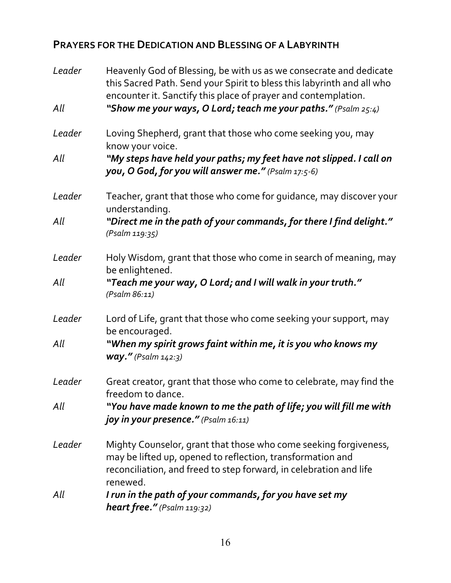## **PRAYERS FOR THE DEDICATION AND BLESSING OF A LABYRINTH**

| Leader | Heavenly God of Blessing, be with us as we consecrate and dedicate<br>this Sacred Path. Send your Spirit to bless this labyrinth and all who<br>encounter it. Sanctify this place of prayer and contemplation.   |
|--------|------------------------------------------------------------------------------------------------------------------------------------------------------------------------------------------------------------------|
| All    | "Show me your ways, O Lord; teach me your paths." (Psalm 25:4)                                                                                                                                                   |
| Leader | Loving Shepherd, grant that those who come seeking you, may<br>know your voice.                                                                                                                                  |
| All    | "My steps have held your paths; my feet have not slipped. I call on<br>you, O God, for you will answer me." (Psalm 17:5-6)                                                                                       |
| Leader | Teacher, grant that those who come for guidance, may discover your<br>understanding.                                                                                                                             |
| All    | "Direct me in the path of your commands, for there I find delight."<br>(Psalm 119:35)                                                                                                                            |
| Leader | Holy Wisdom, grant that those who come in search of meaning, may<br>be enlightened.                                                                                                                              |
| All    | "Teach me your way, O Lord; and I will walk in your truth."<br>(Psalm 86:11)                                                                                                                                     |
| Leader | Lord of Life, grant that those who come seeking your support, may<br>be encouraged.                                                                                                                              |
| All    | "When my spirit grows faint within me, it is you who knows my<br>$way."$ (Psalm $142.3$ )                                                                                                                        |
| Leader | Great creator, grant that those who come to celebrate, may find the<br>freedom to dance.                                                                                                                         |
| All    | "You have made known to me the path of life; you will fill me with<br>joy in your presence." (Psalm 16:11)                                                                                                       |
| Leader | Mighty Counselor, grant that those who come seeking forgiveness,<br>may be lifted up, opened to reflection, transformation and<br>reconciliation, and freed to step forward, in celebration and life<br>renewed. |
| All    | I run in the path of your commands, for you have set my<br>heart free." (Psalm 119:32)                                                                                                                           |